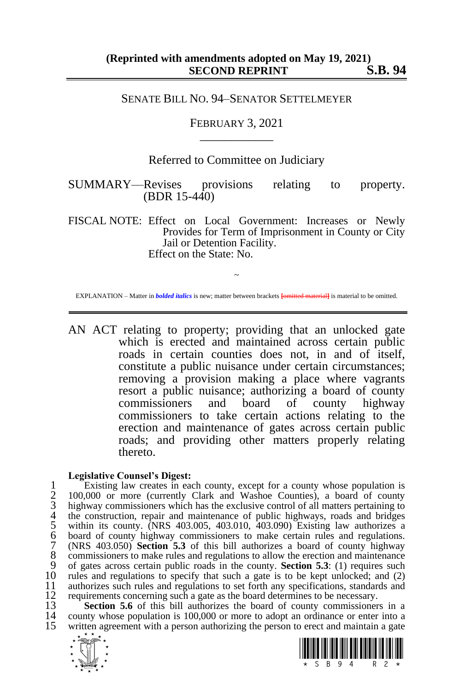## SENATE BILL NO. 94–SENATOR SETTELMEYER

FEBRUARY 3, 2021 \_\_\_\_\_\_\_\_\_\_\_\_

## Referred to Committee on Judiciary

SUMMARY—Revises provisions relating to property. (BDR 15-440)

FISCAL NOTE: Effect on Local Government: Increases or Newly Provides for Term of Imprisonment in County or City Jail or Detention Facility. Effect on the State: No.

~ EXPLANATION – Matter in *bolded italics* is new; matter between brackets **[**omitted material**]** is material to be omitted.

AN ACT relating to property; providing that an unlocked gate which is erected and maintained across certain public roads in certain counties does not, in and of itself, constitute a public nuisance under certain circumstances; removing a provision making a place where vagrants resort a public nuisance; authorizing a board of county commissioners and board of county highway commissioners to take certain actions relating to the erection and maintenance of gates across certain public roads; and providing other matters properly relating thereto.

## **Legislative Counsel's Digest:**

1 Existing law creates in each county, except for a county whose population is<br>
2 100,000 or more (currently Clark and Washoe Counties), a board of county<br>
3 highway commissioners which has the exclusive control of all mat 100,000 or more (currently Clark and Washoe Counties), a board of county highway commissioners which has the exclusive control of all matters pertaining to the construction, repair and maintenance of public highways, roads and bridges within its county. (NRS 403.005, 403.010, 403.090) Existing law authorizes a board of county highway commissioners to make certain rules and regulations. 7 (NRS 403.050) **Section 5.3** of this bill authorizes a board of county highway<br>8 commissioners to make rules and regulations to allow the erection and maintenance<br>9 of gates across certain public roads in the county. **Sec** 8 commissioners to make rules and regulations to allow the erection and maintenance 9 of gates across certain public roads in the county. **Section 5.3**: (1) requires such 10 rules and regulations to specify that such a gate is to be kept unlocked; and (2) authorizes such rules and regulations to set forth any specifications, standards and 11 authorizes such rules and regulations to set forth any specifications, standards and requirements concerning such a gate as the board determines to be necessary. 12 requirements concerning such a gate as the board determines to be necessary.<br>13 Section 5.6 of this bill authorizes the board of county commissioner

**Section 5.6** of this bill authorizes the board of county commissioners in a county whose population is 100,000 or more to adopt an ordinance or enter into a 14 county whose population is 100,000 or more to adopt an ordinance or enter into a<br>15 written agreement with a person authorizing the person to erect and maintain a gate written agreement with a person authorizing the person to erect and maintain a gate



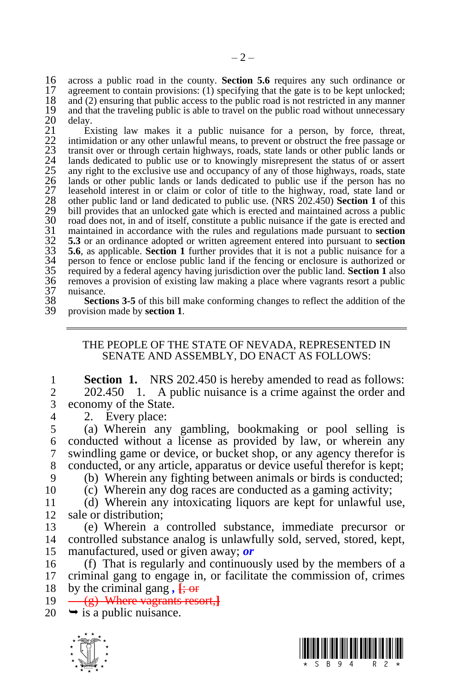16 across a public road in the county. **Section 5.6** requires any such ordinance or 17 agreement to contain provisions: (1) specifying that the gate is to be kept unlocked: 17 agreement to contain provisions: (1) specifying that the gate is to be kept unlocked;<br>18 and (2) ensuring that public access to the public road is not restricted in any manner 18 and (2) ensuring that public access to the public road is not restricted in any manner<br>19 and that the traveling public is able to travel on the public road without unnecessary delay.

19 and that the traveling public is able to travel on the public road without unnecessary<br>
20 delay.<br>
21 Existing law makes it a public nuisance for a person, by force, threat,<br>
22 intimidation or any other unlawful means, Existing law makes it a public nuisance for a person, by force, threat, 22 intimidation or any other unlawful means, to prevent or obstruct the free passage or 23 transit over or through certain highways, roads, state lands or other public lands or lands dedicated to public use or to knowingly misrepresent the status of or assert any right to the exclusive use and occupancy of any of those highways, roads, state lands or other public lands or lands dedicated to public use if the person has no leasehold interest in or claim or color of title to the highway, road, state land or 28 other public land or land dedicated to public use. (NRS 202.450) **Section 1** of this 29 bill provides that an unlocked gate which is erected and maintained across a public 30 road does not, in and of itself, constitute a public nuisance if the gate is erected and 30 road does not, in and of itself, constitute a public nuisance if the gate is erected and<br>31 maintained in accordance with the rules and regulations made pursuant to **section**<br>32 5.3 or an ordinance adopted or written ag maintained in accordance with the rules and regulations made pursuant to **section** 32 **5.3** or an ordinance adopted or written agreement entered into pursuant to **section**  33 **5.6**, as applicable. **Section 1** further provides that it is not a public nuisance for a person to fence or enclose public land if the fencing or enclosure is authorized or 35 required by a federal agency having jurisdiction over the public land. **Section 1** also 36 removes a provision of existing law making a place where vagrants resort a public 37 nuisance.<br>38 **Secti**e

**Sections 3-5** of this bill make conforming changes to reflect the addition of the provision made by **section 1**. 39 provision made by **section 1**.

## THE PEOPLE OF THE STATE OF NEVADA, REPRESENTED IN SENATE AND ASSEMBLY, DO ENACT AS FOLLOWS:

**1 Section 1.** NRS 202.450 is hereby amended to read as follows:<br>2 202.450 1. A public nuisance is a crime against the order and 2 202.450 1. A public nuisance is a crime against the order and 3 economy of the State.

4 2. Every place:<br>5 (a) Wherein any 5 (a) Wherein any gambling, bookmaking or pool selling is 6 conducted without a license as provided by law, or wherein any  $\sigma$  swindling game or device, or bucket shop, or any agency therefor is swindling game or device, or bucket shop, or any agency therefor is 8 conducted, or any article, apparatus or device useful therefor is kept;

9 (b) Wherein any fighting between animals or birds is conducted; 10 (c) Wherein any dog races are conducted as a gaming activity;

11 (d) Wherein any intoxicating liquors are kept for unlawful use, 12 sale or distribution;

13 (e) Wherein a controlled substance, immediate precursor or 14 controlled substance analog is unlawfully sold, served, stored, kept, 15 manufactured, used or given away; *or*

16 (f) That is regularly and continuously used by the members of a 17 criminal gang to engage in, or facilitate the commission of, crimes 18 by the criminal gang,  $\frac{1}{2}$ 

19 (g) Where vagrants resort,**]**

 $20 \rightarrow$  is a public nuisance.



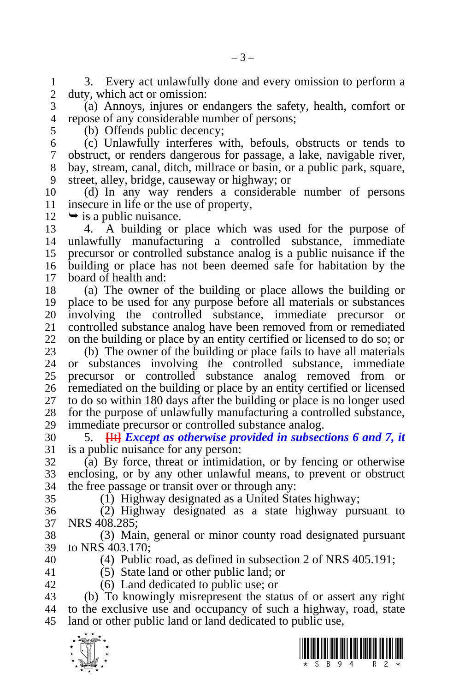1 3. Every act unlawfully done and every omission to perform a<br>2 duty, which act or omission: duty, which act or omission:

 (a) Annoys, injures or endangers the safety, health, comfort or repose of any considerable number of persons;

(b) Offends public decency;

 (c) Unlawfully interferes with, befouls, obstructs or tends to obstruct, or renders dangerous for passage, a lake, navigable river, bay, stream, canal, ditch, millrace or basin, or a public park, square, street, alley, bridge, causeway or highway; or

 (d) In any way renders a considerable number of persons 11 insecure in life or the use of property,<br>12  $\rightarrow$  is a public nuisance.

 $\rightarrow$  is a public nuisance.

 4. A building or place which was used for the purpose of unlawfully manufacturing a controlled substance, immediate precursor or controlled substance analog is a public nuisance if the building or place has not been deemed safe for habitation by the board of health and:

 (a) The owner of the building or place allows the building or place to be used for any purpose before all materials or substances 20 involving the controlled substance, immediate precursor or controlled substance analog have been removed from or remediated controlled substance analog have been removed from or remediated on the building or place by an entity certified or licensed to do so; or

23 (b) The owner of the building or place fails to have all materials 24 or substances involving the controlled substance, immediate or substances involving the controlled substance, immediate precursor or controlled substance analog removed from or remediated on the building or place by an entity certified or licensed to do so within 180 days after the building or place is no longer used for the purpose of unlawfully manufacturing a controlled substance, immediate precursor or controlled substance analog.

 5. **[**It**]** *Except as otherwise provided in subsections 6 and 7, it*  is a public nuisance for any person:

 (a) By force, threat or intimidation, or by fencing or otherwise enclosing, or by any other unlawful means, to prevent or obstruct the free passage or transit over or through any:

(1) Highway designated as a United States highway;

 (2) Highway designated as a state highway pursuant to NRS 408.285;

 (3) Main, general or minor county road designated pursuant to NRS 403.170:

(4) Public road, as defined in subsection 2 of NRS 405.191;

(5) State land or other public land; or

(6) Land dedicated to public use; or

 (b) To knowingly misrepresent the status of or assert any right to the exclusive use and occupancy of such a highway, road, state land or other public land or land dedicated to public use,



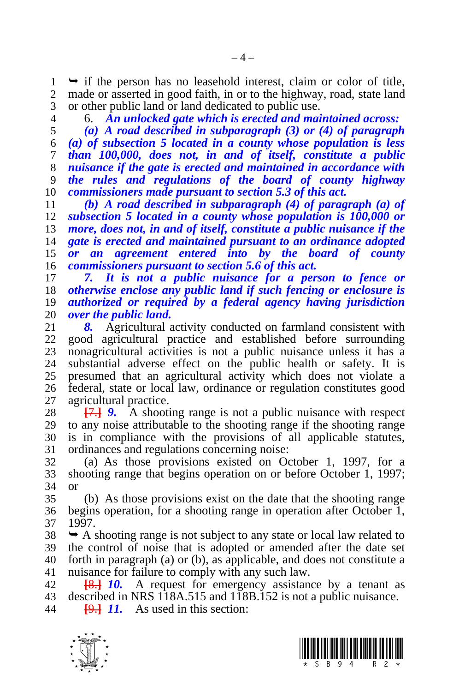$1 \rightarrow$  if the person has no leasehold interest, claim or color of title,<br>2 made or asserted in good faith, in or to the highway, road, state land made or asserted in good faith, in or to the highway, road, state land or other public land or land dedicated to public use.

6. *An unlocked gate which is erected and maintained across:* 

 *(a) A road described in subparagraph (3) or (4) of paragraph (a) of subsection 5 located in a county whose population is less than 100,000, does not, in and of itself, constitute a public nuisance if the gate is erected and maintained in accordance with the rules and regulations of the board of county highway commissioners made pursuant to section 5.3 of this act.*

 *(b) A road described in subparagraph (4) of paragraph (a) of subsection 5 located in a county whose population is 100,000 or more, does not, in and of itself, constitute a public nuisance if the gate is erected and maintained pursuant to an ordinance adopted or an agreement entered into by the board of county commissioners pursuant to section 5.6 of this act.*

 *7. It is not a public nuisance for a person to fence or otherwise enclose any public land if such fencing or enclosure is authorized or required by a federal agency having jurisdiction over the public land.* 

8. Agricultural activity conducted on farmland consistent with good agricultural practice and established before surrounding nonagricultural activities is not a public nuisance unless it has a substantial adverse effect on the public health or safety. It is presumed that an agricultural activity which does not violate a federal, state or local law, ordinance or regulation constitutes good agricultural practice.

 **[**7.**]** *9.* A shooting range is not a public nuisance with respect to any noise attributable to the shooting range if the shooting range is in compliance with the provisions of all applicable statutes, ordinances and regulations concerning noise:

 (a) As those provisions existed on October 1, 1997, for a shooting range that begins operation on or before October 1, 1997; or

 (b) As those provisions exist on the date that the shooting range begins operation, for a shooting range in operation after October 1, 1997.

 $38 \rightarrow A$  shooting range is not subject to any state or local law related to the control of noise that is adopted or amended after the date set forth in paragraph (a) or (b), as applicable, and does not constitute a nuisance for failure to comply with any such law.

 **[**8.**]** *10.* A request for emergency assistance by a tenant as described in NRS 118A.515 and 118B.152 is not a public nuisance.

**[**9.**]** *11.* As used in this section:



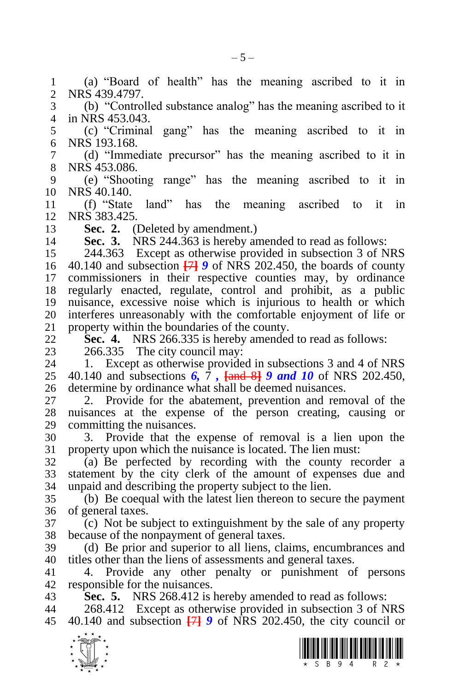$\frac{1}{\sqrt{2}}$  (a) "Board of health" has the meaning ascribed to it in NRS 439.4797. (b) "Controlled substance analog" has the meaning ascribed to it in NRS 453.043. (c) "Criminal gang" has the meaning ascribed to it in NRS 193.168. (d) "Immediate precursor" has the meaning ascribed to it in NRS 453.086. (e) "Shooting range" has the meaning ascribed to it in NRS 40.140. (f) "State land" has the meaning ascribed to it in NRS 383.425. **13 Sec. 2.** (Deleted by amendment.)<br>14 **Sec. 3.** NRS 244.363 is hereby an **Sec. 3.** NRS 244.363 is hereby amended to read as follows: 244.363 Except as otherwise provided in subsection 3 of NRS 40.140 and subsection **[**7**]** *9* of NRS 202.450, the boards of county commissioners in their respective counties may, by ordinance regularly enacted, regulate, control and prohibit, as a public nuisance, excessive noise which is injurious to health or which 20 interferes unreasonably with the comfortable enjoyment of life or 21 property within the boundaries of the county. property within the boundaries of the county. **Sec. 4.** NRS 266.335 is hereby amended to read as follows: 23 266.335 The city council may:<br>24 1. Except as otherwise provide 1. Except as otherwise provided in subsections 3 and 4 of NRS 40.140 and subsections *6,* 7 *,* **[**and 8**]** *9 and 10* of NRS 202.450, determine by ordinance what shall be deemed nuisances. 2. Provide for the abatement, prevention and removal of the nuisances at the expense of the person creating, causing or committing the nuisances. 3. Provide that the expense of removal is a lien upon the property upon which the nuisance is located. The lien must: (a) Be perfected by recording with the county recorder a statement by the city clerk of the amount of expenses due and unpaid and describing the property subject to the lien. (b) Be coequal with the latest lien thereon to secure the payment of general taxes. (c) Not be subject to extinguishment by the sale of any property because of the nonpayment of general taxes. (d) Be prior and superior to all liens, claims, encumbrances and titles other than the liens of assessments and general taxes. 4. Provide any other penalty or punishment of persons responsible for the nuisances. **Sec. 5.** NRS 268.412 is hereby amended to read as follows: 268.412 Except as otherwise provided in subsection 3 of NRS 40.140 and subsection **[**7**]** *9* of NRS 202.450, the city council or